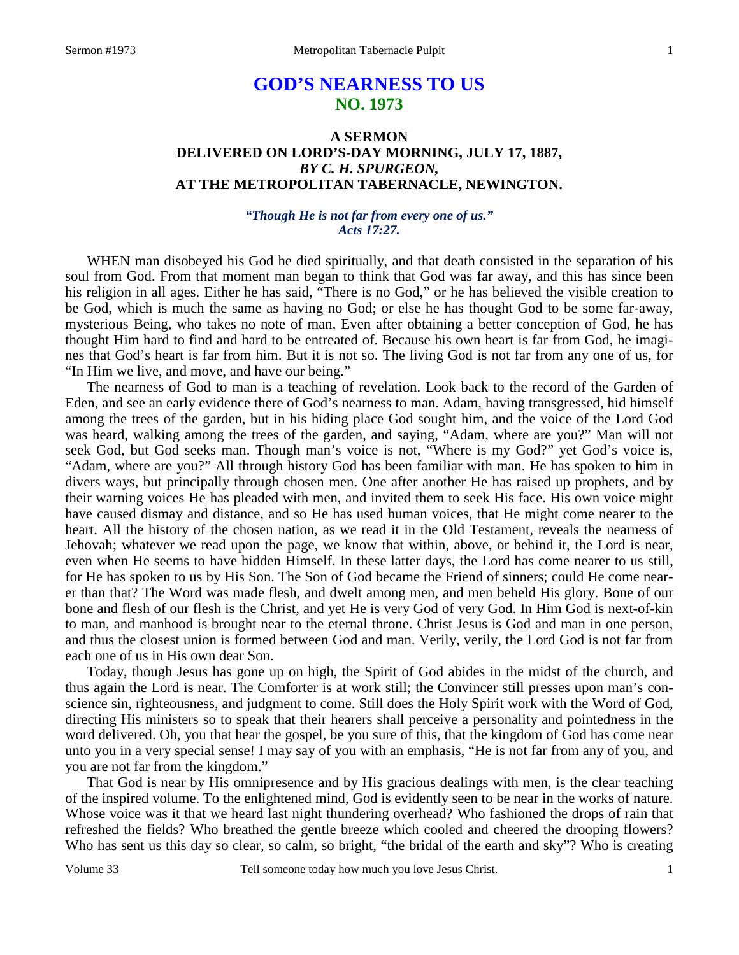# **GOD'S NEARNESS TO US NO. 1973**

## **A SERMON DELIVERED ON LORD'S-DAY MORNING, JULY 17, 1887,**  *BY C. H. SPURGEON,*  **AT THE METROPOLITAN TABERNACLE, NEWINGTON.**

## *"Though He is not far from every one of us." Acts 17:27.*

WHEN man disobeyed his God he died spiritually, and that death consisted in the separation of his soul from God. From that moment man began to think that God was far away, and this has since been his religion in all ages. Either he has said, "There is no God," or he has believed the visible creation to be God, which is much the same as having no God; or else he has thought God to be some far-away, mysterious Being, who takes no note of man. Even after obtaining a better conception of God, he has thought Him hard to find and hard to be entreated of. Because his own heart is far from God, he imagines that God's heart is far from him. But it is not so. The living God is not far from any one of us, for "In Him we live, and move, and have our being."

The nearness of God to man is a teaching of revelation. Look back to the record of the Garden of Eden, and see an early evidence there of God's nearness to man. Adam, having transgressed, hid himself among the trees of the garden, but in his hiding place God sought him, and the voice of the Lord God was heard, walking among the trees of the garden, and saying, "Adam, where are you?" Man will not seek God, but God seeks man. Though man's voice is not, "Where is my God?" yet God's voice is, "Adam, where are you?" All through history God has been familiar with man. He has spoken to him in divers ways, but principally through chosen men. One after another He has raised up prophets, and by their warning voices He has pleaded with men, and invited them to seek His face. His own voice might have caused dismay and distance, and so He has used human voices, that He might come nearer to the heart. All the history of the chosen nation, as we read it in the Old Testament, reveals the nearness of Jehovah; whatever we read upon the page, we know that within, above, or behind it, the Lord is near, even when He seems to have hidden Himself. In these latter days, the Lord has come nearer to us still, for He has spoken to us by His Son. The Son of God became the Friend of sinners; could He come nearer than that? The Word was made flesh, and dwelt among men, and men beheld His glory. Bone of our bone and flesh of our flesh is the Christ, and yet He is very God of very God. In Him God is next-of-kin to man, and manhood is brought near to the eternal throne. Christ Jesus is God and man in one person, and thus the closest union is formed between God and man. Verily, verily, the Lord God is not far from each one of us in His own dear Son.

Today, though Jesus has gone up on high, the Spirit of God abides in the midst of the church, and thus again the Lord is near. The Comforter is at work still; the Convincer still presses upon man's conscience sin, righteousness, and judgment to come. Still does the Holy Spirit work with the Word of God, directing His ministers so to speak that their hearers shall perceive a personality and pointedness in the word delivered. Oh, you that hear the gospel, be you sure of this, that the kingdom of God has come near unto you in a very special sense! I may say of you with an emphasis, "He is not far from any of you, and you are not far from the kingdom."

That God is near by His omnipresence and by His gracious dealings with men, is the clear teaching of the inspired volume. To the enlightened mind, God is evidently seen to be near in the works of nature. Whose voice was it that we heard last night thundering overhead? Who fashioned the drops of rain that refreshed the fields? Who breathed the gentle breeze which cooled and cheered the drooping flowers? Who has sent us this day so clear, so calm, so bright, "the bridal of the earth and sky"? Who is creating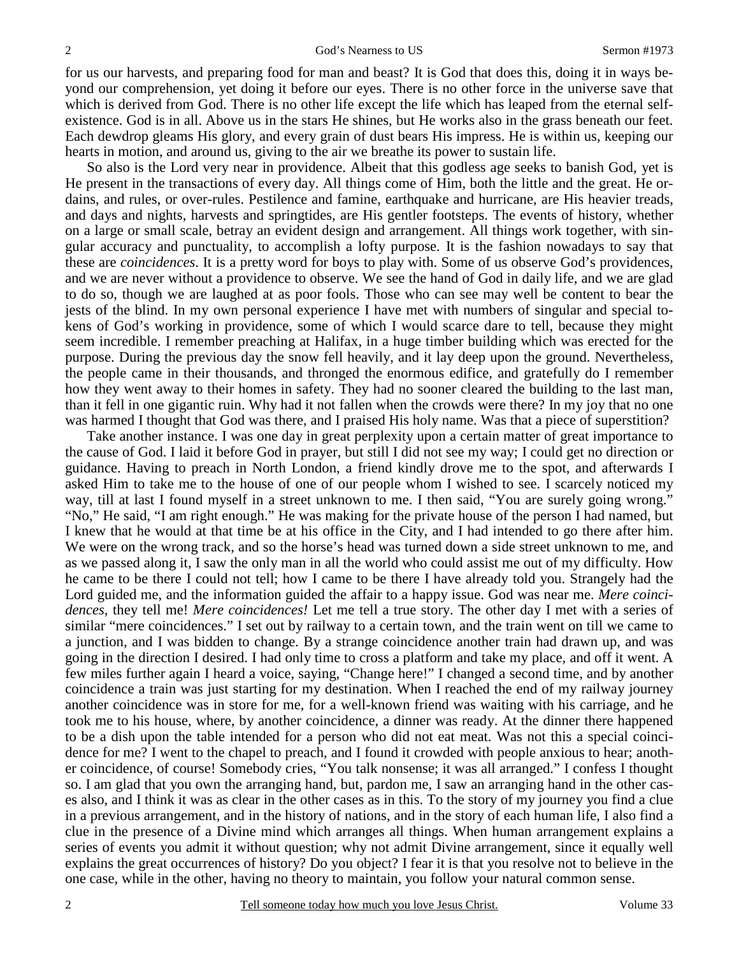for us our harvests, and preparing food for man and beast? It is God that does this, doing it in ways beyond our comprehension, yet doing it before our eyes. There is no other force in the universe save that which is derived from God. There is no other life except the life which has leaped from the eternal selfexistence. God is in all. Above us in the stars He shines, but He works also in the grass beneath our feet. Each dewdrop gleams His glory, and every grain of dust bears His impress. He is within us, keeping our hearts in motion, and around us, giving to the air we breathe its power to sustain life.

So also is the Lord very near in providence. Albeit that this godless age seeks to banish God, yet is He present in the transactions of every day. All things come of Him, both the little and the great. He ordains, and rules, or over-rules. Pestilence and famine, earthquake and hurricane, are His heavier treads, and days and nights, harvests and springtides, are His gentler footsteps. The events of history, whether on a large or small scale, betray an evident design and arrangement. All things work together, with singular accuracy and punctuality, to accomplish a lofty purpose. It is the fashion nowadays to say that these are *coincidences*. It is a pretty word for boys to play with. Some of us observe God's providences, and we are never without a providence to observe. We see the hand of God in daily life, and we are glad to do so, though we are laughed at as poor fools. Those who can see may well be content to bear the jests of the blind. In my own personal experience I have met with numbers of singular and special tokens of God's working in providence, some of which I would scarce dare to tell, because they might seem incredible. I remember preaching at Halifax, in a huge timber building which was erected for the purpose. During the previous day the snow fell heavily, and it lay deep upon the ground. Nevertheless, the people came in their thousands, and thronged the enormous edifice, and gratefully do I remember how they went away to their homes in safety. They had no sooner cleared the building to the last man, than it fell in one gigantic ruin. Why had it not fallen when the crowds were there? In my joy that no one was harmed I thought that God was there, and I praised His holy name. Was that a piece of superstition?

Take another instance. I was one day in great perplexity upon a certain matter of great importance to the cause of God. I laid it before God in prayer, but still I did not see my way; I could get no direction or guidance. Having to preach in North London, a friend kindly drove me to the spot, and afterwards I asked Him to take me to the house of one of our people whom I wished to see. I scarcely noticed my way, till at last I found myself in a street unknown to me. I then said, "You are surely going wrong." "No," He said, "I am right enough." He was making for the private house of the person I had named, but I knew that he would at that time be at his office in the City, and I had intended to go there after him. We were on the wrong track, and so the horse's head was turned down a side street unknown to me, and as we passed along it, I saw the only man in all the world who could assist me out of my difficulty. How he came to be there I could not tell; how I came to be there I have already told you. Strangely had the Lord guided me, and the information guided the affair to a happy issue. God was near me. *Mere coincidences,* they tell me! *Mere coincidences!* Let me tell a true story. The other day I met with a series of similar "mere coincidences." I set out by railway to a certain town, and the train went on till we came to a junction, and I was bidden to change. By a strange coincidence another train had drawn up, and was going in the direction I desired. I had only time to cross a platform and take my place, and off it went. A few miles further again I heard a voice, saying, "Change here!" I changed a second time, and by another coincidence a train was just starting for my destination. When I reached the end of my railway journey another coincidence was in store for me, for a well-known friend was waiting with his carriage, and he took me to his house, where, by another coincidence, a dinner was ready. At the dinner there happened to be a dish upon the table intended for a person who did not eat meat. Was not this a special coincidence for me? I went to the chapel to preach, and I found it crowded with people anxious to hear; another coincidence, of course! Somebody cries, "You talk nonsense; it was all arranged." I confess I thought so. I am glad that you own the arranging hand, but, pardon me, I saw an arranging hand in the other cases also, and I think it was as clear in the other cases as in this. To the story of my journey you find a clue in a previous arrangement, and in the history of nations, and in the story of each human life, I also find a clue in the presence of a Divine mind which arranges all things. When human arrangement explains a series of events you admit it without question; why not admit Divine arrangement, since it equally well explains the great occurrences of history? Do you object? I fear it is that you resolve not to believe in the one case, while in the other, having no theory to maintain, you follow your natural common sense.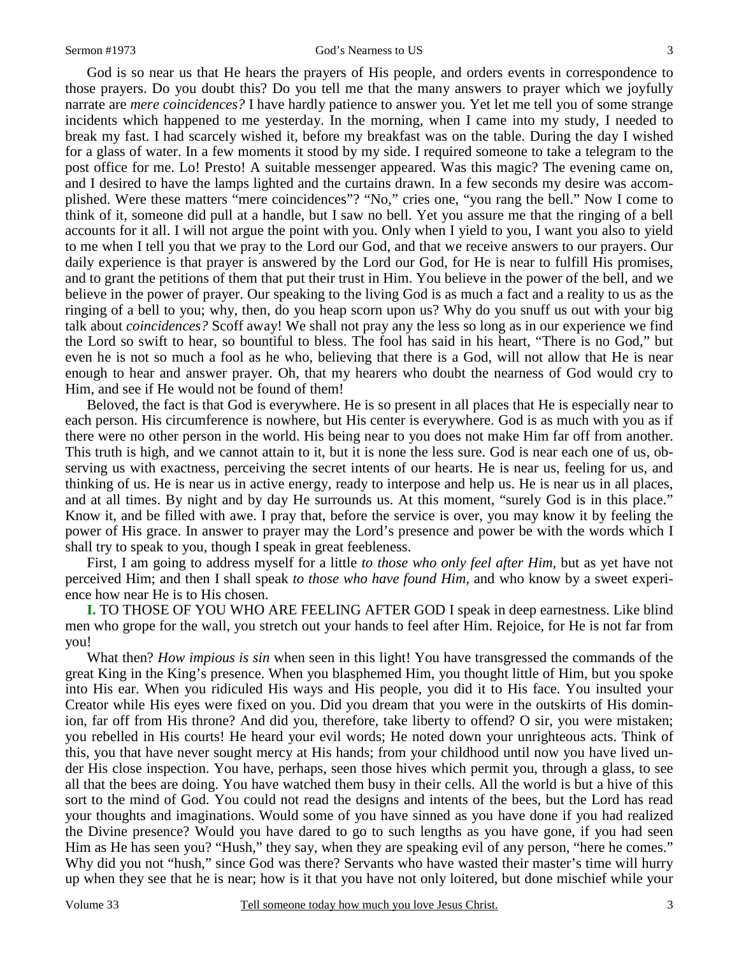God is so near us that He hears the prayers of His people, and orders events in correspondence to those prayers. Do you doubt this? Do you tell me that the many answers to prayer which we joyfully narrate are *mere coincidences?* I have hardly patience to answer you. Yet let me tell you of some strange incidents which happened to me yesterday. In the morning, when I came into my study, I needed to break my fast. I had scarcely wished it, before my breakfast was on the table. During the day I wished for a glass of water. In a few moments it stood by my side. I required someone to take a telegram to the post office for me. Lo! Presto! A suitable messenger appeared. Was this magic? The evening came on, and I desired to have the lamps lighted and the curtains drawn. In a few seconds my desire was accomplished. Were these matters "mere coincidences"? "No," cries one, "you rang the bell." Now I come to think of it, someone did pull at a handle, but I saw no bell. Yet you assure me that the ringing of a bell accounts for it all. I will not argue the point with you. Only when I yield to you, I want you also to yield to me when I tell you that we pray to the Lord our God, and that we receive answers to our prayers. Our daily experience is that prayer is answered by the Lord our God, for He is near to fulfill His promises, and to grant the petitions of them that put their trust in Him. You believe in the power of the bell, and we believe in the power of prayer. Our speaking to the living God is as much a fact and a reality to us as the ringing of a bell to you; why, then, do you heap scorn upon us? Why do you snuff us out with your big talk about *coincidences?* Scoff away! We shall not pray any the less so long as in our experience we find the Lord so swift to hear, so bountiful to bless. The fool has said in his heart, "There is no God," but even he is not so much a fool as he who, believing that there is a God, will not allow that He is near enough to hear and answer prayer. Oh, that my hearers who doubt the nearness of God would cry to Him, and see if He would not be found of them!

Beloved, the fact is that God is everywhere. He is so present in all places that He is especially near to each person. His circumference is nowhere, but His center is everywhere. God is as much with you as if there were no other person in the world. His being near to you does not make Him far off from another. This truth is high, and we cannot attain to it, but it is none the less sure. God is near each one of us, observing us with exactness, perceiving the secret intents of our hearts. He is near us, feeling for us, and thinking of us. He is near us in active energy, ready to interpose and help us. He is near us in all places, and at all times. By night and by day He surrounds us. At this moment, "surely God is in this place." Know it, and be filled with awe. I pray that, before the service is over, you may know it by feeling the power of His grace. In answer to prayer may the Lord's presence and power be with the words which I shall try to speak to you, though I speak in great feebleness.

First, I am going to address myself for a little *to those who only feel after Him,* but as yet have not perceived Him; and then I shall speak *to those who have found Him,* and who know by a sweet experience how near He is to His chosen.

**I.** TO THOSE OF YOU WHO ARE FEELING AFTER GOD I speak in deep earnestness. Like blind men who grope for the wall, you stretch out your hands to feel after Him. Rejoice, for He is not far from you!

What then? *How impious is sin* when seen in this light! You have transgressed the commands of the great King in the King's presence. When you blasphemed Him, you thought little of Him, but you spoke into His ear. When you ridiculed His ways and His people, you did it to His face. You insulted your Creator while His eyes were fixed on you. Did you dream that you were in the outskirts of His dominion, far off from His throne? And did you, therefore, take liberty to offend? O sir, you were mistaken; you rebelled in His courts! He heard your evil words; He noted down your unrighteous acts. Think of this, you that have never sought mercy at His hands; from your childhood until now you have lived under His close inspection. You have, perhaps, seen those hives which permit you, through a glass, to see all that the bees are doing. You have watched them busy in their cells. All the world is but a hive of this sort to the mind of God. You could not read the designs and intents of the bees, but the Lord has read your thoughts and imaginations. Would some of you have sinned as you have done if you had realized the Divine presence? Would you have dared to go to such lengths as you have gone, if you had seen Him as He has seen you? "Hush," they say, when they are speaking evil of any person, "here he comes." Why did you not "hush," since God was there? Servants who have wasted their master's time will hurry up when they see that he is near; how is it that you have not only loitered, but done mischief while your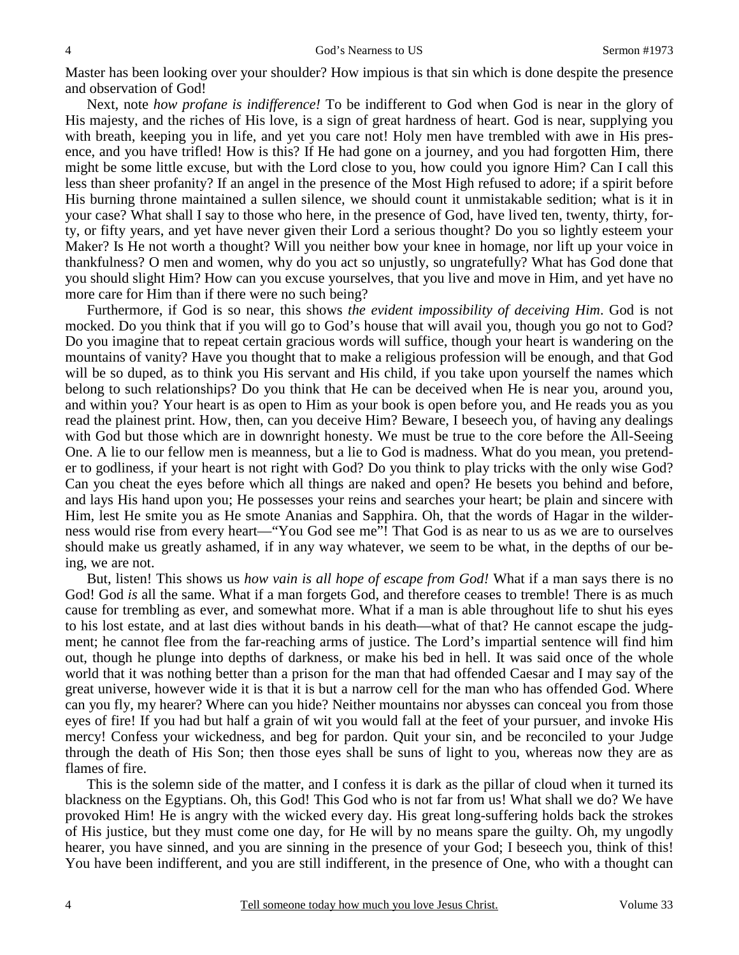Master has been looking over your shoulder? How impious is that sin which is done despite the presence and observation of God!

Next, note *how profane is indifference!* To be indifferent to God when God is near in the glory of His majesty, and the riches of His love, is a sign of great hardness of heart. God is near, supplying you with breath, keeping you in life, and yet you care not! Holy men have trembled with awe in His presence, and you have trifled! How is this? If He had gone on a journey, and you had forgotten Him, there might be some little excuse, but with the Lord close to you, how could you ignore Him? Can I call this less than sheer profanity? If an angel in the presence of the Most High refused to adore; if a spirit before His burning throne maintained a sullen silence, we should count it unmistakable sedition; what is it in your case? What shall I say to those who here, in the presence of God, have lived ten, twenty, thirty, forty, or fifty years, and yet have never given their Lord a serious thought? Do you so lightly esteem your Maker? Is He not worth a thought? Will you neither bow your knee in homage, nor lift up your voice in thankfulness? O men and women, why do you act so unjustly, so ungratefully? What has God done that you should slight Him? How can you excuse yourselves, that you live and move in Him, and yet have no more care for Him than if there were no such being?

Furthermore, if God is so near, this shows *the evident impossibility of deceiving Him*. God is not mocked. Do you think that if you will go to God's house that will avail you, though you go not to God? Do you imagine that to repeat certain gracious words will suffice, though your heart is wandering on the mountains of vanity? Have you thought that to make a religious profession will be enough, and that God will be so duped, as to think you His servant and His child, if you take upon yourself the names which belong to such relationships? Do you think that He can be deceived when He is near you, around you, and within you? Your heart is as open to Him as your book is open before you, and He reads you as you read the plainest print. How, then, can you deceive Him? Beware, I beseech you, of having any dealings with God but those which are in downright honesty. We must be true to the core before the All-Seeing One. A lie to our fellow men is meanness, but a lie to God is madness. What do you mean, you pretender to godliness, if your heart is not right with God? Do you think to play tricks with the only wise God? Can you cheat the eyes before which all things are naked and open? He besets you behind and before, and lays His hand upon you; He possesses your reins and searches your heart; be plain and sincere with Him, lest He smite you as He smote Ananias and Sapphira. Oh, that the words of Hagar in the wilderness would rise from every heart—"You God see me"! That God is as near to us as we are to ourselves should make us greatly ashamed, if in any way whatever, we seem to be what, in the depths of our being, we are not.

But, listen! This shows us *how vain is all hope of escape from God!* What if a man says there is no God! God *is* all the same. What if a man forgets God, and therefore ceases to tremble! There is as much cause for trembling as ever, and somewhat more. What if a man is able throughout life to shut his eyes to his lost estate, and at last dies without bands in his death—what of that? He cannot escape the judgment; he cannot flee from the far-reaching arms of justice. The Lord's impartial sentence will find him out, though he plunge into depths of darkness, or make his bed in hell. It was said once of the whole world that it was nothing better than a prison for the man that had offended Caesar and I may say of the great universe, however wide it is that it is but a narrow cell for the man who has offended God. Where can you fly, my hearer? Where can you hide? Neither mountains nor abysses can conceal you from those eyes of fire! If you had but half a grain of wit you would fall at the feet of your pursuer, and invoke His mercy! Confess your wickedness, and beg for pardon. Quit your sin, and be reconciled to your Judge through the death of His Son; then those eyes shall be suns of light to you, whereas now they are as flames of fire.

This is the solemn side of the matter, and I confess it is dark as the pillar of cloud when it turned its blackness on the Egyptians. Oh, this God! This God who is not far from us! What shall we do? We have provoked Him! He is angry with the wicked every day. His great long-suffering holds back the strokes of His justice, but they must come one day, for He will by no means spare the guilty. Oh, my ungodly hearer, you have sinned, and you are sinning in the presence of your God; I beseech you, think of this! You have been indifferent, and you are still indifferent, in the presence of One, who with a thought can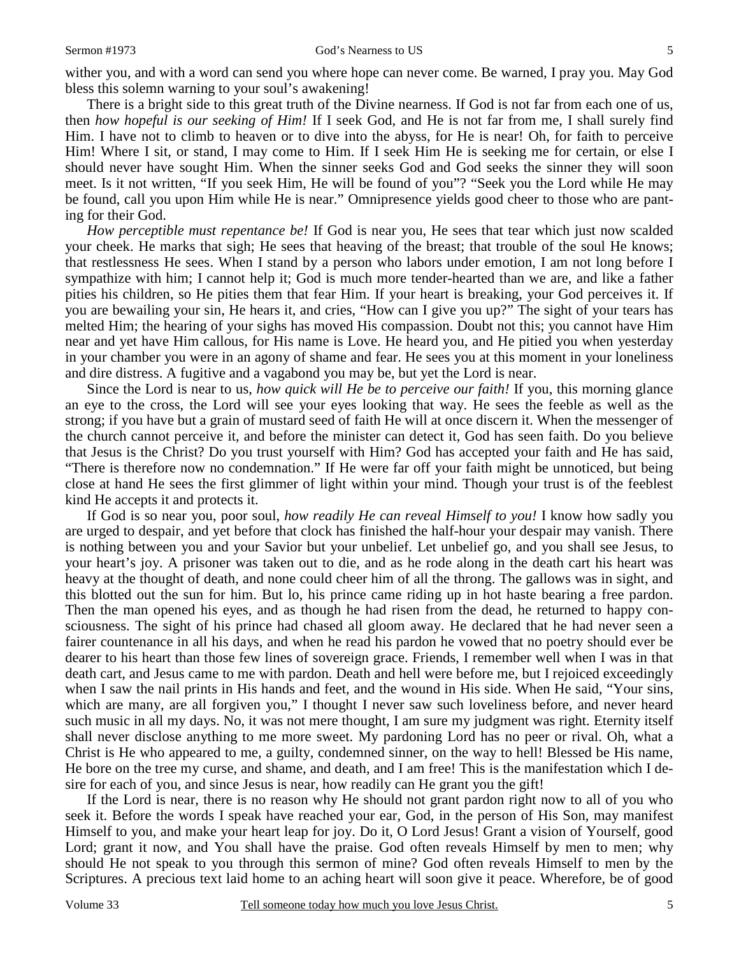wither you, and with a word can send you where hope can never come. Be warned, I pray you. May God bless this solemn warning to your soul's awakening!

There is a bright side to this great truth of the Divine nearness. If God is not far from each one of us, then *how hopeful is our seeking of Him!* If I seek God, and He is not far from me, I shall surely find Him. I have not to climb to heaven or to dive into the abyss, for He is near! Oh, for faith to perceive Him! Where I sit, or stand, I may come to Him. If I seek Him He is seeking me for certain, or else I should never have sought Him. When the sinner seeks God and God seeks the sinner they will soon meet. Is it not written, "If you seek Him, He will be found of you"? "Seek you the Lord while He may be found, call you upon Him while He is near." Omnipresence yields good cheer to those who are panting for their God.

*How perceptible must repentance be!* If God is near you, He sees that tear which just now scalded your cheek. He marks that sigh; He sees that heaving of the breast; that trouble of the soul He knows; that restlessness He sees. When I stand by a person who labors under emotion, I am not long before I sympathize with him; I cannot help it; God is much more tender-hearted than we are, and like a father pities his children, so He pities them that fear Him. If your heart is breaking, your God perceives it. If you are bewailing your sin, He hears it, and cries, "How can I give you up?" The sight of your tears has melted Him; the hearing of your sighs has moved His compassion. Doubt not this; you cannot have Him near and yet have Him callous, for His name is Love. He heard you, and He pitied you when yesterday in your chamber you were in an agony of shame and fear. He sees you at this moment in your loneliness and dire distress. A fugitive and a vagabond you may be, but yet the Lord is near.

Since the Lord is near to us, *how quick will He be to perceive our faith!* If you, this morning glance an eye to the cross, the Lord will see your eyes looking that way. He sees the feeble as well as the strong; if you have but a grain of mustard seed of faith He will at once discern it. When the messenger of the church cannot perceive it, and before the minister can detect it, God has seen faith. Do you believe that Jesus is the Christ? Do you trust yourself with Him? God has accepted your faith and He has said, "There is therefore now no condemnation." If He were far off your faith might be unnoticed, but being close at hand He sees the first glimmer of light within your mind. Though your trust is of the feeblest kind He accepts it and protects it.

If God is so near you, poor soul, *how readily He can reveal Himself to you!* I know how sadly you are urged to despair, and yet before that clock has finished the half-hour your despair may vanish. There is nothing between you and your Savior but your unbelief. Let unbelief go, and you shall see Jesus, to your heart's joy. A prisoner was taken out to die, and as he rode along in the death cart his heart was heavy at the thought of death, and none could cheer him of all the throng. The gallows was in sight, and this blotted out the sun for him. But lo, his prince came riding up in hot haste bearing a free pardon. Then the man opened his eyes, and as though he had risen from the dead, he returned to happy consciousness. The sight of his prince had chased all gloom away. He declared that he had never seen a fairer countenance in all his days, and when he read his pardon he vowed that no poetry should ever be dearer to his heart than those few lines of sovereign grace. Friends, I remember well when I was in that death cart, and Jesus came to me with pardon. Death and hell were before me, but I rejoiced exceedingly when I saw the nail prints in His hands and feet, and the wound in His side. When He said, "Your sins, which are many, are all forgiven you," I thought I never saw such loveliness before, and never heard such music in all my days. No, it was not mere thought, I am sure my judgment was right. Eternity itself shall never disclose anything to me more sweet. My pardoning Lord has no peer or rival. Oh, what a Christ is He who appeared to me, a guilty, condemned sinner, on the way to hell! Blessed be His name, He bore on the tree my curse, and shame, and death, and I am free! This is the manifestation which I desire for each of you, and since Jesus is near, how readily can He grant you the gift!

If the Lord is near, there is no reason why He should not grant pardon right now to all of you who seek it. Before the words I speak have reached your ear, God, in the person of His Son, may manifest Himself to you, and make your heart leap for joy. Do it, O Lord Jesus! Grant a vision of Yourself, good Lord; grant it now, and You shall have the praise. God often reveals Himself by men to men; why should He not speak to you through this sermon of mine? God often reveals Himself to men by the Scriptures. A precious text laid home to an aching heart will soon give it peace. Wherefore, be of good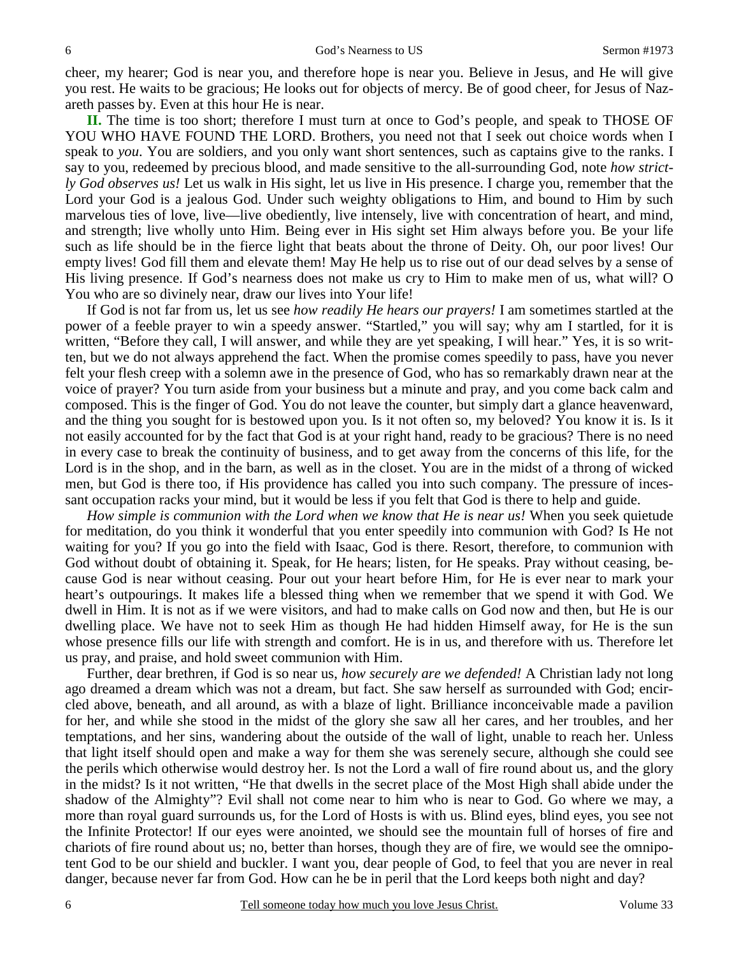cheer, my hearer; God is near you, and therefore hope is near you. Believe in Jesus, and He will give you rest. He waits to be gracious; He looks out for objects of mercy. Be of good cheer, for Jesus of Nazareth passes by. Even at this hour He is near.

**II.** The time is too short; therefore I must turn at once to God's people, and speak to THOSE OF YOU WHO HAVE FOUND THE LORD. Brothers, you need not that I seek out choice words when I speak to *you*. You are soldiers, and you only want short sentences, such as captains give to the ranks. I say to you, redeemed by precious blood, and made sensitive to the all-surrounding God, note *how strictly God observes us!* Let us walk in His sight, let us live in His presence. I charge you, remember that the Lord your God is a jealous God. Under such weighty obligations to Him, and bound to Him by such marvelous ties of love, live—live obediently, live intensely, live with concentration of heart, and mind, and strength; live wholly unto Him. Being ever in His sight set Him always before you. Be your life such as life should be in the fierce light that beats about the throne of Deity. Oh, our poor lives! Our empty lives! God fill them and elevate them! May He help us to rise out of our dead selves by a sense of His living presence. If God's nearness does not make us cry to Him to make men of us, what will? O You who are so divinely near, draw our lives into Your life!

If God is not far from us, let us see *how readily He hears our prayers!* I am sometimes startled at the power of a feeble prayer to win a speedy answer. "Startled," you will say; why am I startled, for it is written, "Before they call, I will answer, and while they are yet speaking, I will hear." Yes, it is so written, but we do not always apprehend the fact. When the promise comes speedily to pass, have you never felt your flesh creep with a solemn awe in the presence of God, who has so remarkably drawn near at the voice of prayer? You turn aside from your business but a minute and pray, and you come back calm and composed. This is the finger of God. You do not leave the counter, but simply dart a glance heavenward, and the thing you sought for is bestowed upon you. Is it not often so, my beloved? You know it is. Is it not easily accounted for by the fact that God is at your right hand, ready to be gracious? There is no need in every case to break the continuity of business, and to get away from the concerns of this life, for the Lord is in the shop, and in the barn, as well as in the closet. You are in the midst of a throng of wicked men, but God is there too, if His providence has called you into such company. The pressure of incessant occupation racks your mind, but it would be less if you felt that God is there to help and guide.

*How simple is communion with the Lord when we know that He is near us!* When you seek quietude for meditation, do you think it wonderful that you enter speedily into communion with God? Is He not waiting for you? If you go into the field with Isaac, God is there. Resort, therefore, to communion with God without doubt of obtaining it. Speak, for He hears; listen, for He speaks. Pray without ceasing, because God is near without ceasing. Pour out your heart before Him, for He is ever near to mark your heart's outpourings. It makes life a blessed thing when we remember that we spend it with God. We dwell in Him. It is not as if we were visitors, and had to make calls on God now and then, but He is our dwelling place. We have not to seek Him as though He had hidden Himself away, for He is the sun whose presence fills our life with strength and comfort. He is in us, and therefore with us. Therefore let us pray, and praise, and hold sweet communion with Him.

Further, dear brethren, if God is so near us, *how securely are we defended!* A Christian lady not long ago dreamed a dream which was not a dream, but fact. She saw herself as surrounded with God; encircled above, beneath, and all around, as with a blaze of light. Brilliance inconceivable made a pavilion for her, and while she stood in the midst of the glory she saw all her cares, and her troubles, and her temptations, and her sins, wandering about the outside of the wall of light, unable to reach her. Unless that light itself should open and make a way for them she was serenely secure, although she could see the perils which otherwise would destroy her. Is not the Lord a wall of fire round about us, and the glory in the midst? Is it not written, "He that dwells in the secret place of the Most High shall abide under the shadow of the Almighty"? Evil shall not come near to him who is near to God. Go where we may, a more than royal guard surrounds us, for the Lord of Hosts is with us. Blind eyes, blind eyes, you see not the Infinite Protector! If our eyes were anointed, we should see the mountain full of horses of fire and chariots of fire round about us; no, better than horses, though they are of fire, we would see the omnipotent God to be our shield and buckler. I want you, dear people of God, to feel that you are never in real danger, because never far from God. How can he be in peril that the Lord keeps both night and day?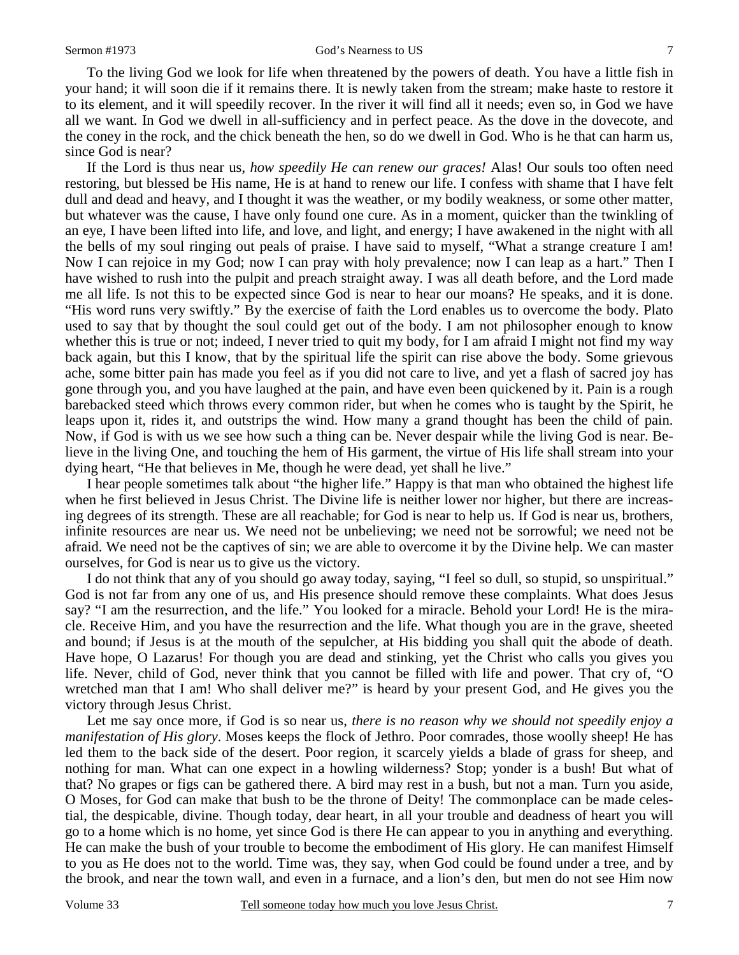To the living God we look for life when threatened by the powers of death. You have a little fish in your hand; it will soon die if it remains there. It is newly taken from the stream; make haste to restore it to its element, and it will speedily recover. In the river it will find all it needs; even so, in God we have all we want. In God we dwell in all-sufficiency and in perfect peace. As the dove in the dovecote, and the coney in the rock, and the chick beneath the hen, so do we dwell in God. Who is he that can harm us, since God is near?

If the Lord is thus near us, *how speedily He can renew our graces!* Alas! Our souls too often need restoring, but blessed be His name, He is at hand to renew our life. I confess with shame that I have felt dull and dead and heavy, and I thought it was the weather, or my bodily weakness, or some other matter, but whatever was the cause, I have only found one cure. As in a moment, quicker than the twinkling of an eye, I have been lifted into life, and love, and light, and energy; I have awakened in the night with all the bells of my soul ringing out peals of praise. I have said to myself, "What a strange creature I am! Now I can rejoice in my God; now I can pray with holy prevalence; now I can leap as a hart." Then I have wished to rush into the pulpit and preach straight away. I was all death before, and the Lord made me all life. Is not this to be expected since God is near to hear our moans? He speaks, and it is done. "His word runs very swiftly." By the exercise of faith the Lord enables us to overcome the body. Plato used to say that by thought the soul could get out of the body. I am not philosopher enough to know whether this is true or not; indeed, I never tried to quit my body, for I am afraid I might not find my way back again, but this I know, that by the spiritual life the spirit can rise above the body. Some grievous ache, some bitter pain has made you feel as if you did not care to live, and yet a flash of sacred joy has gone through you, and you have laughed at the pain, and have even been quickened by it. Pain is a rough barebacked steed which throws every common rider, but when he comes who is taught by the Spirit, he leaps upon it, rides it, and outstrips the wind. How many a grand thought has been the child of pain. Now, if God is with us we see how such a thing can be. Never despair while the living God is near. Believe in the living One, and touching the hem of His garment, the virtue of His life shall stream into your dying heart, "He that believes in Me, though he were dead, yet shall he live."

I hear people sometimes talk about "the higher life." Happy is that man who obtained the highest life when he first believed in Jesus Christ. The Divine life is neither lower nor higher, but there are increasing degrees of its strength. These are all reachable; for God is near to help us. If God is near us, brothers, infinite resources are near us. We need not be unbelieving; we need not be sorrowful; we need not be afraid. We need not be the captives of sin; we are able to overcome it by the Divine help. We can master ourselves, for God is near us to give us the victory.

I do not think that any of you should go away today, saying, "I feel so dull, so stupid, so unspiritual." God is not far from any one of us, and His presence should remove these complaints. What does Jesus say? "I am the resurrection, and the life." You looked for a miracle. Behold your Lord! He is the miracle. Receive Him, and you have the resurrection and the life. What though you are in the grave, sheeted and bound; if Jesus is at the mouth of the sepulcher, at His bidding you shall quit the abode of death. Have hope, O Lazarus! For though you are dead and stinking, yet the Christ who calls you gives you life. Never, child of God, never think that you cannot be filled with life and power. That cry of, "O wretched man that I am! Who shall deliver me?" is heard by your present God, and He gives you the victory through Jesus Christ.

Let me say once more, if God is so near us, *there is no reason why we should not speedily enjoy a manifestation of His glory*. Moses keeps the flock of Jethro. Poor comrades, those woolly sheep! He has led them to the back side of the desert. Poor region, it scarcely yields a blade of grass for sheep, and nothing for man. What can one expect in a howling wilderness? Stop; yonder is a bush! But what of that? No grapes or figs can be gathered there. A bird may rest in a bush, but not a man. Turn you aside, O Moses, for God can make that bush to be the throne of Deity! The commonplace can be made celestial, the despicable, divine. Though today, dear heart, in all your trouble and deadness of heart you will go to a home which is no home, yet since God is there He can appear to you in anything and everything. He can make the bush of your trouble to become the embodiment of His glory. He can manifest Himself to you as He does not to the world. Time was, they say, when God could be found under a tree, and by the brook, and near the town wall, and even in a furnace, and a lion's den, but men do not see Him now